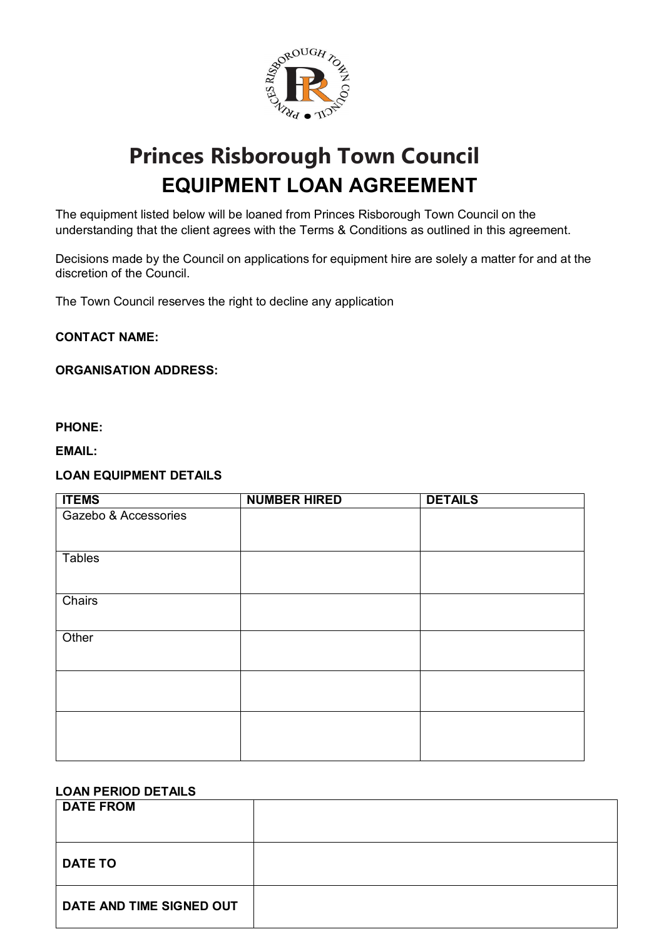

# **Princes Risborough Town Council EQUIPMENT LOAN AGREEMENT**

The equipment listed below will be loaned from Princes Risborough Town Council on the understanding that the client agrees with the Terms & Conditions as outlined in this agreement.

Decisions made by the Council on applications for equipment hire are solely a matter for and at the discretion of the Council.

The Town Council reserves the right to decline any application

#### **CONTACT NAME:**

#### **ORGANISATION ADDRESS:**

#### **PHONE:**

**EMAIL:**

#### **LOAN EQUIPMENT DETAILS**

| <b>ITEMS</b>         | <b>NUMBER HIRED</b> | <b>DETAILS</b> |
|----------------------|---------------------|----------------|
| Gazebo & Accessories |                     |                |
|                      |                     |                |
| <b>Tables</b>        |                     |                |
|                      |                     |                |
| Chairs               |                     |                |
|                      |                     |                |
| Other                |                     |                |
|                      |                     |                |
|                      |                     |                |
|                      |                     |                |
|                      |                     |                |
|                      |                     |                |
|                      |                     |                |

### **LOAN PERIOD DETAILS**

| <b>DATE FROM</b>         |  |
|--------------------------|--|
| <b>DATE TO</b>           |  |
| DATE AND TIME SIGNED OUT |  |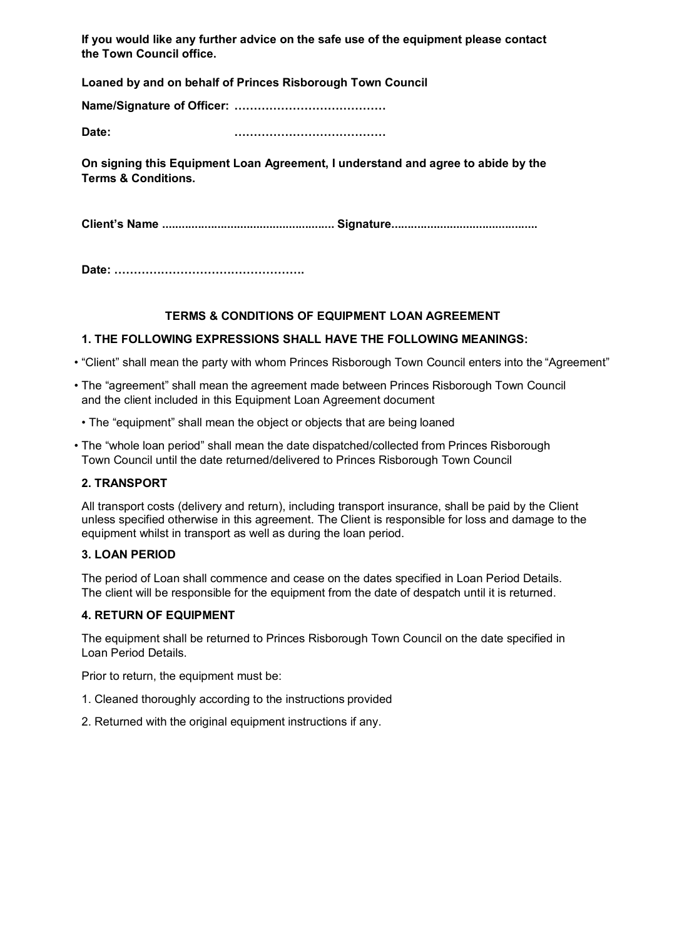**If you would like any further advice on the safe use of the equipment please contact the Town Council office.** 

**Loaned by and on behalf of Princes Risborough Town Council**

**Name/Signature of Officer: …………………………………**

**Date: …………………………………**

**On signing this Equipment Loan Agreement, I understand and agree to abide by the Terms & Conditions.**

**Client's Name ..................................................... Signature.............................................**

**Date: ………………………………………….**

## **TERMS & CONDITIONS OF EQUIPMENT LOAN AGREEMENT**

## **1. THE FOLLOWING EXPRESSIONS SHALL HAVE THE FOLLOWING MEANINGS:**

- "Client" shall mean the party with whom Princes Risborough Town Council enters into the "Agreement"
- The "agreement" shall mean the agreement made between Princes Risborough Town Council and the client included in this Equipment Loan Agreement document
	- The "equipment" shall mean the object or objects that are being loaned
- The "whole loan period" shall mean the date dispatched/collected from Princes Risborough Town Council until the date returned/delivered to Princes Risborough Town Council

#### **2. TRANSPORT**

All transport costs (delivery and return), including transport insurance, shall be paid by the Client unless specified otherwise in this agreement. The Client is responsible for loss and damage to the equipment whilst in transport as well as during the loan period.

#### **3. LOAN PERIOD**

The period of Loan shall commence and cease on the dates specified in Loan Period Details. The client will be responsible for the equipment from the date of despatch until it is returned.

## **4. RETURN OF EQUIPMENT**

The equipment shall be returned to Princes Risborough Town Council on the date specified in Loan Period Details.

Prior to return, the equipment must be:

- 1. Cleaned thoroughly according to the instructions provided
- 2. Returned with the original equipment instructions if any.